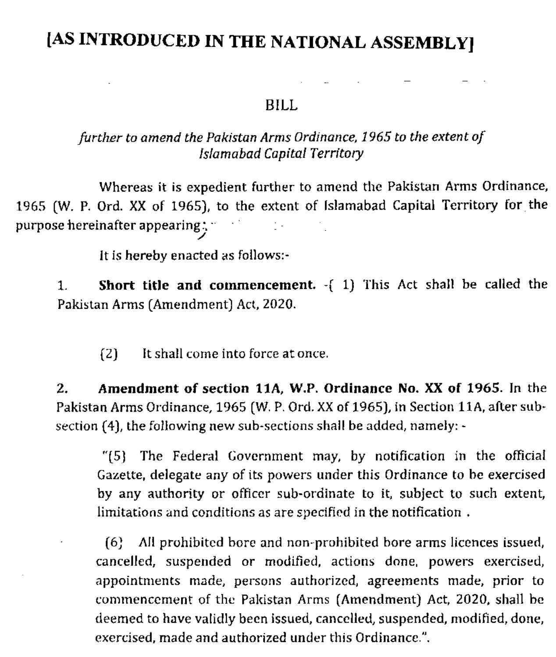## [AS INTRODUCED IN THE NATIONAL ASSEMBLY]

BILL

## further to amend the Pakistan Arms Ordinance, 1965 to the extent of Islamabad Capital Territory

Whereas it is expedient further to amend fhe Pakistan Arms Ordihance, 1965 (w. P. Ord. XX of 1955), to the extcnt of Islamabad Capital Territory for the purpose hereinafter appearing;

It is hereby enacted as follows:-

1. Short title and commencement.  $-(-1)$  This Act shall be called the Pakistan Arms [Amendment) Act, 2020.

{2) It shall come into force at once

2. Amendment of section 11A, W.P. Ordinance No. XX of 1965. In the Pakistan Arms Ordinance, 1965 (W. P. Ord. XX of 1965), in Section 11A, after subsection (4), the following new sub-sections shall be added, namely: -

"[5] The Federal Covcrnment may, by notification in the oflicial Gazette, delegate any of its powers under this Ordinance to be exercised by any authority or officer sub-ordinate to it, subject to such extent, limitations and conditions as are specified in the notification ,

[6,) AII prohibitcd bore and non.prohibited bore arms liccnces issued, cancelled, suspended or modified, actions done, powers exercised, appointments made, persons authorized, agreements made, prior to commencement of the Pakistan Arms (Amendment) Act, 2020, shall be deemed to have validly been issued, cancelled, suspended, modified, done, cxercised, made and authorized under fhis Ordinance.".